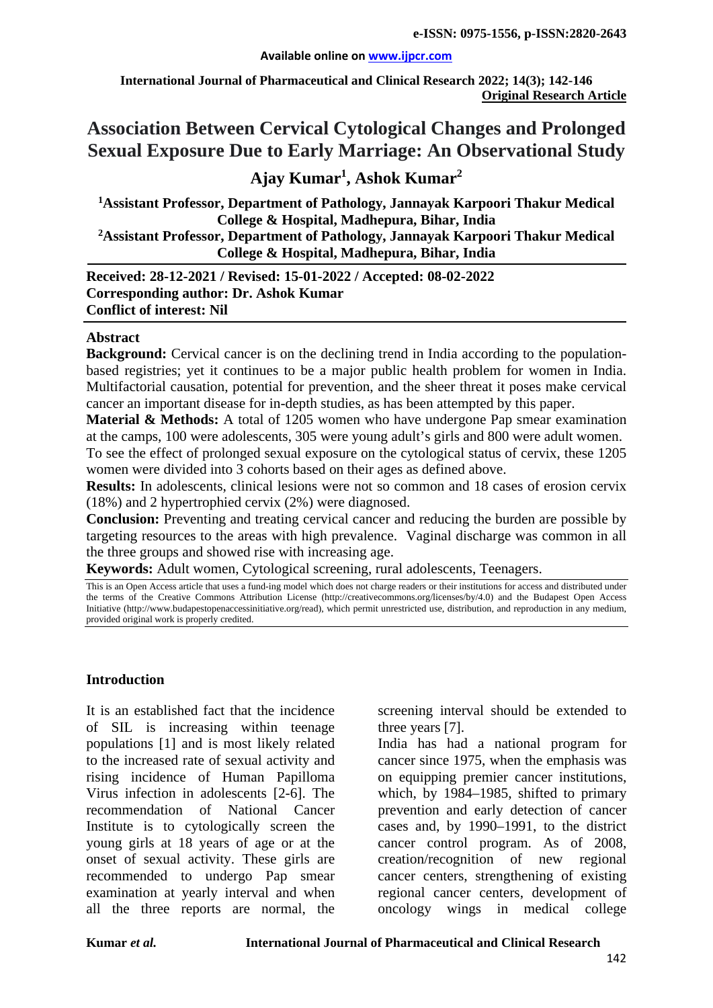#### **Available online on [www.ijpcr.com](http://www.ijpcr.com/)**

**International Journal of Pharmaceutical and Clinical Research 2022; 14(3); 142-146 Original Research Article**

# **Association Between Cervical Cytological Changes and Prolonged Sexual Exposure Due to Early Marriage: An Observational Study**

# **Ajay Kumar1 , Ashok Kumar2**

**1 Assistant Professor, Department of Pathology, Jannayak Karpoori Thakur Medical College & Hospital, Madhepura, Bihar, India 2Assistant Professor, Department of Pathology, Jannayak Karpoori Thakur Medical College & Hospital, Madhepura, Bihar, India**

**Received: 28-12-2021 / Revised: 15-01-2022 / Accepted: 08-02-2022 Corresponding author: Dr. Ashok Kumar Conflict of interest: Nil**

#### **Abstract**

**Background:** Cervical cancer is on the declining trend in India according to the populationbased registries; yet it continues to be a major public health problem for women in India. Multifactorial causation, potential for prevention, and the sheer threat it poses make cervical cancer an important disease for in-depth studies, as has been attempted by this paper.

**Material & Methods:** A total of 1205 women who have undergone Pap smear examination at the camps, 100 were adolescents, 305 were young adult's girls and 800 were adult women. To see the effect of prolonged sexual exposure on the cytological status of cervix, these 1205 women were divided into 3 cohorts based on their ages as defined above.

**Results:** In adolescents, clinical lesions were not so common and 18 cases of erosion cervix (18%) and 2 hypertrophied cervix (2%) were diagnosed.

**Conclusion:** Preventing and treating cervical cancer and reducing the burden are possible by targeting resources to the areas with high prevalence. Vaginal discharge was common in all the three groups and showed rise with increasing age.

**Keywords:** Adult women, Cytological screening, rural adolescents, Teenagers.

This is an Open Access article that uses a fund-ing model which does not charge readers or their institutions for access and distributed under the terms of the Creative Commons Attribution License (http://creativecommons.org/licenses/by/4.0) and the Budapest Open Access Initiative (http://www.budapestopenaccessinitiative.org/read), which permit unrestricted use, distribution, and reproduction in any medium, provided original work is properly credited.

#### **Introduction**

It is an established fact that the incidence of SIL is increasing within teenage populations [1] and is most likely related to the increased rate of sexual activity and rising incidence of Human Papilloma Virus infection in adolescents [2-6]. The recommendation of National Cancer Institute is to cytologically screen the young girls at 18 years of age or at the onset of sexual activity. These girls are recommended to undergo Pap smear examination at yearly interval and when all the three reports are normal, the screening interval should be extended to three years [7].

India has had a national program for cancer since 1975, when the emphasis was on equipping premier cancer institutions, which, by 1984–1985, shifted to primary prevention and early detection of cancer cases and, by 1990–1991, to the district cancer control program. As of 2008, creation/recognition of new regional cancer centers, strengthening of existing regional cancer centers, development of oncology wings in medical college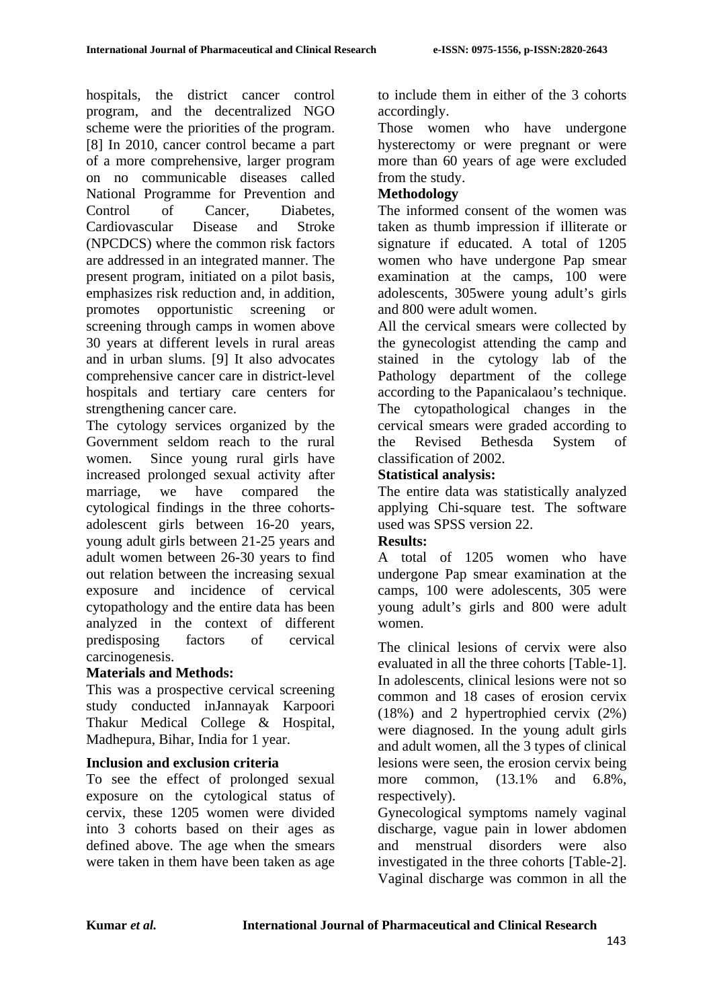hospitals, the district cancer control program, and the decentralized NGO scheme were the priorities of the program. [8] In 2010, cancer control became a part of a more comprehensive, larger program on no communicable diseases called National Programme for Prevention and Control of Cancer, Diabetes, Cardiovascular Disease and Stroke (NPCDCS) where the common risk factors are addressed in an integrated manner. The present program, initiated on a pilot basis, emphasizes risk reduction and, in addition, promotes opportunistic screening or screening through camps in women above 30 years at different levels in rural areas and in urban slums. [9] It also advocates comprehensive cancer care in district-level hospitals and tertiary care centers for strengthening cancer care.

The cytology services organized by the Government seldom reach to the rural women. Since young rural girls have increased prolonged sexual activity after marriage, we have compared the cytological findings in the three cohortsadolescent girls between 16-20 years, young adult girls between 21-25 years and adult women between 26-30 years to find out relation between the increasing sexual exposure and incidence of cervical cytopathology and the entire data has been analyzed in the context of different predisposing factors of cervical carcinogenesis.

#### **Materials and Methods:**

This was a prospective cervical screening study conducted inJannayak Karpoori Thakur Medical College & Hospital, Madhepura, Bihar, India for 1 year.

#### **Inclusion and exclusion criteria**

To see the effect of prolonged sexual exposure on the cytological status of cervix, these 1205 women were divided into 3 cohorts based on their ages as defined above. The age when the smears were taken in them have been taken as age

to include them in either of the 3 cohorts accordingly.

Those women who have undergone hysterectomy or were pregnant or were more than 60 years of age were excluded from the study.

### **Methodology**

The informed consent of the women was taken as thumb impression if illiterate or signature if educated. A total of 1205 women who have undergone Pap smear examination at the camps, 100 were adolescents, 305were young adult's girls and 800 were adult women.

All the cervical smears were collected by the gynecologist attending the camp and stained in the cytology lab of the Pathology department of the college according to the Papanicalaou's technique. The cytopathological changes in the cervical smears were graded according to the Revised Bethesda System of classification of 2002.

#### **Statistical analysis:**

The entire data was statistically analyzed applying Chi-square test. The software used was SPSS version 22.

#### **Results:**

A total of 1205 women who have undergone Pap smear examination at the camps, 100 were adolescents, 305 were young adult's girls and 800 were adult women.

The clinical lesions of cervix were also evaluated in all the three cohorts [Table-1]. In adolescents, clinical lesions were not so common and 18 cases of erosion cervix (18%) and 2 hypertrophied cervix (2%) were diagnosed. In the young adult girls and adult women, all the 3 types of clinical lesions were seen, the erosion cervix being more common, (13.1% and 6.8%, respectively).

Gynecological symptoms namely vaginal discharge, vague pain in lower abdomen and menstrual disorders were also investigated in the three cohorts [Table-2]. Vaginal discharge was common in all the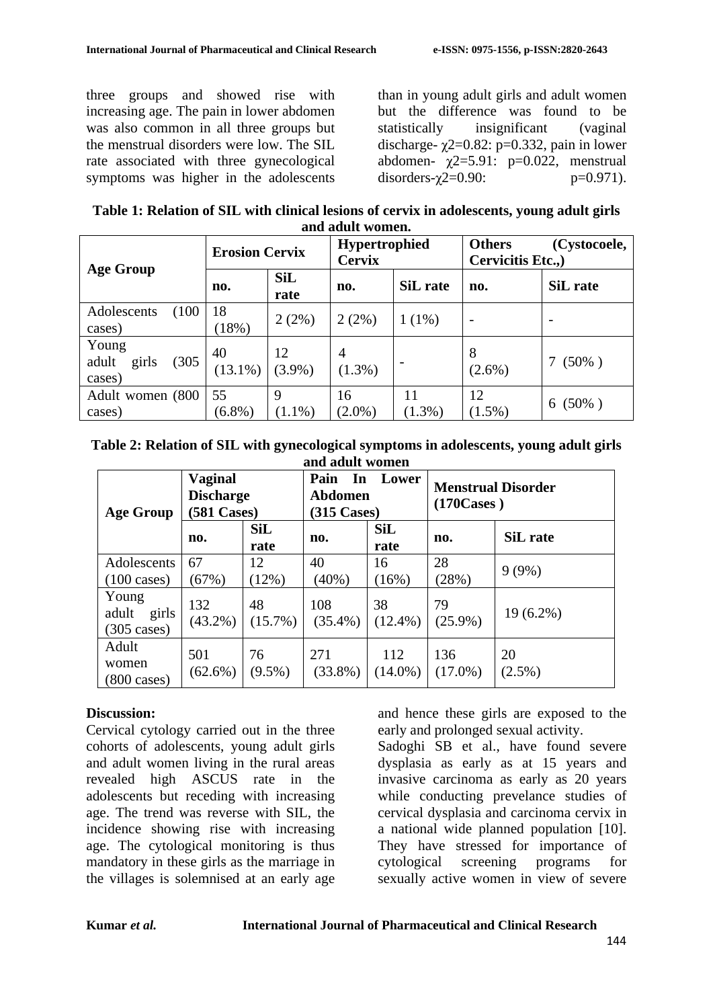three groups and showed rise with increasing age. The pain in lower abdomen was also common in all three groups but the menstrual disorders were low. The SIL rate associated with three gynecological symptoms was higher in the adolescents than in young adult girls and adult women but the difference was found to be statistically insignificant (vaginal discharge-  $\gamma$ 2=0.82: p=0.332, pain in lower abdomen-  $\chi$ 2=5.91: p=0.022, menstrual disorders- $\gamma$ 2=0.90: p=0.971).

| Table 1: Relation of SIL with clinical lesions of cervix in adolescents, young adult girls |
|--------------------------------------------------------------------------------------------|
| and adult women.                                                                           |

|                                            | <b>Erosion Cervix</b> |                    | <b>Hypertrophied</b><br><b>Cervix</b> |           | <b>Others</b><br>(Cystocoele,<br>Cervicitis Etc., |               |
|--------------------------------------------|-----------------------|--------------------|---------------------------------------|-----------|---------------------------------------------------|---------------|
| <b>Age Group</b>                           | no.                   | <b>SiL</b><br>rate | no.                                   | SiL rate  | no.                                               | SiL rate      |
| (100)<br>Adolescents<br>cases)             | 18<br>(18%)           | 2(2%)              | 2(2%)                                 | $1(1\%)$  |                                                   |               |
| Young<br>(305)<br>adult<br>girls<br>cases) | 40<br>$(13.1\%)$      | 12<br>$(3.9\%)$    | 4<br>$(1.3\%)$                        |           | 8<br>$(2.6\%)$                                    | $(50\%)$      |
| Adult women (800<br>cases)                 | 55<br>$(6.8\%)$       | 9<br>$(1.1\%)$     | 16<br>$(2.0\%)$                       | $(1.3\%)$ | 12<br>$(1.5\%)$                                   | $(50\%)$<br>6 |

**Table 2: Relation of SIL with gynecological symptoms in adolescents, young adult girls and adult women**

| <b>Age Group</b>                                 | <b>Vaginal</b><br><b>Discharge</b><br><b>581 Cases)</b> |                    | Pain<br>In<br>Abdomen<br>$(315 \text{ Cases})$ | Lower              | <b>Menstrual Disorder</b><br>$(170 \text{Cases})$ |                 |
|--------------------------------------------------|---------------------------------------------------------|--------------------|------------------------------------------------|--------------------|---------------------------------------------------|-----------------|
|                                                  | no.                                                     | <b>SiL</b><br>rate | no.                                            | <b>SiL</b><br>rate | no.                                               | SiL rate        |
| Adolescents<br>$(100 \text{ cases})$             | 67<br>(67%)                                             | 12<br>(12%)        | 40<br>$(40\%)$                                 | 16<br>(16%)        | 28<br>(28%)                                       | $9(9\%)$        |
| Young<br>adult<br>girls<br>$(305 \text{ cases})$ | 132<br>$(43.2\%)$                                       | 48<br>$(15.7\%)$   | 108<br>$(35.4\%)$                              | 38<br>$(12.4\%)$   | 79<br>$(25.9\%)$                                  | $19(6.2\%)$     |
| Adult<br>women<br>$(800 \text{ cases})$          | 501<br>$(62.6\%)$                                       | 76<br>$(9.5\%)$    | 271<br>$(33.8\%)$                              | 112<br>$(14.0\%)$  | 136<br>$(17.0\%)$                                 | 20<br>$(2.5\%)$ |

#### **Discussion:**

Cervical cytology carried out in the three cohorts of adolescents, young adult girls and adult women living in the rural areas revealed high ASCUS rate in the adolescents but receding with increasing age. The trend was reverse with SIL, the incidence showing rise with increasing age. The cytological monitoring is thus mandatory in these girls as the marriage in the villages is solemnised at an early age

and hence these girls are exposed to the early and prolonged sexual activity.

Sadoghi SB et al., have found severe dysplasia as early as at 15 years and invasive carcinoma as early as 20 years while conducting prevelance studies of cervical dysplasia and carcinoma cervix in a national wide planned population [10]. They have stressed for importance of cytological screening programs for sexually active women in view of severe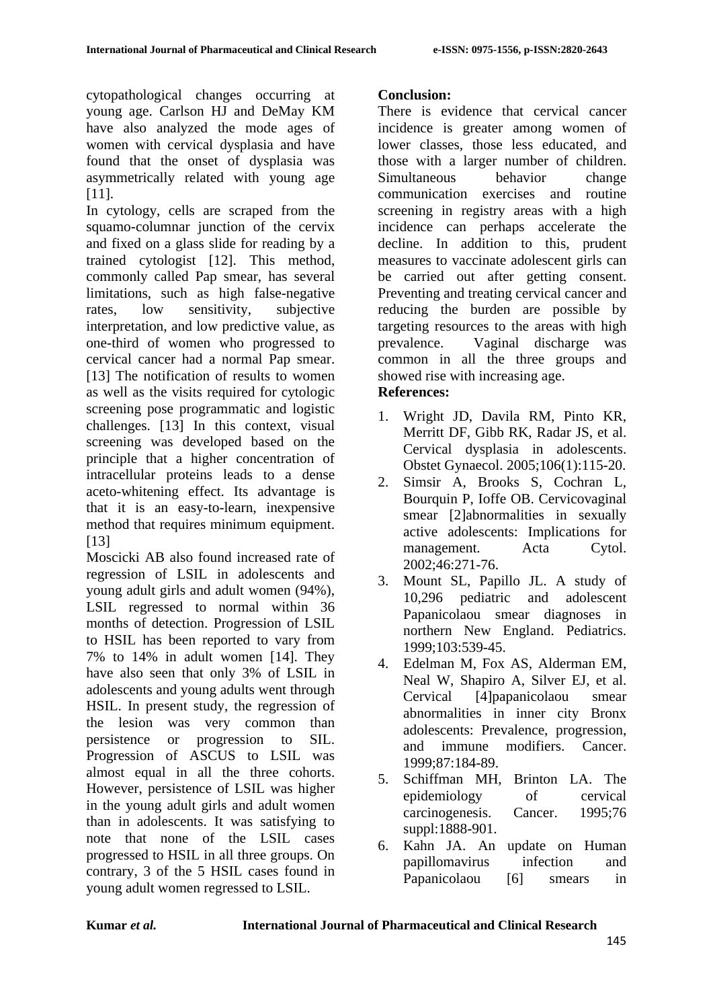cytopathological changes occurring at young age. Carlson HJ and DeMay KM have also analyzed the mode ages of women with cervical dysplasia and have found that the onset of dysplasia was asymmetrically related with young age [11].

In cytology, cells are scraped from the squamo-columnar junction of the cervix and fixed on a glass slide for reading by a trained cytologist [12]. This method, commonly called Pap smear, has several limitations, such as high false-negative rates, low sensitivity, subjective interpretation, and low predictive value, as one-third of women who progressed to cervical cancer had a normal Pap smear. [13] The notification of results to women as well as the visits required for cytologic screening pose programmatic and logistic challenges. [13] In this context, visual screening was developed based on the principle that a higher concentration of intracellular proteins leads to a dense aceto-whitening effect. Its advantage is that it is an easy-to-learn, inexpensive method that requires minimum equipment. [13]

Moscicki AB also found increased rate of regression of LSIL in adolescents and young adult girls and adult women (94%), LSIL regressed to normal within 36 months of detection. Progression of LSIL to HSIL has been reported to vary from 7% to 14% in adult women [14]. They have also seen that only 3% of LSIL in adolescents and young adults went through HSIL. In present study, the regression of the lesion was very common than persistence or progression to SIL. Progression of ASCUS to LSIL was almost equal in all the three cohorts. However, persistence of LSIL was higher in the young adult girls and adult women than in adolescents. It was satisfying to note that none of the LSIL cases progressed to HSIL in all three groups. On contrary, 3 of the 5 HSIL cases found in young adult women regressed to LSIL.

# **Conclusion:**

There is evidence that cervical cancer incidence is greater among women of lower classes, those less educated, and those with a larger number of children. Simultaneous behavior change communication exercises and routine screening in registry areas with a high incidence can perhaps accelerate the decline. In addition to this, prudent measures to vaccinate adolescent girls can be carried out after getting consent. Preventing and treating cervical cancer and reducing the burden are possible by targeting resources to the areas with high prevalence. Vaginal discharge was common in all the three groups and showed rise with increasing age. **References:**

# 1. Wright JD, Davila RM, Pinto KR, Merritt DF, Gibb RK, Radar JS, et al. Cervical dysplasia in adolescents. Obstet Gynaecol. 2005;106(1):115-20.

- 2. Simsir A, Brooks S, Cochran L, Bourquin P, Ioffe OB. Cervicovaginal smear [2]abnormalities in sexually active adolescents: Implications for management. Acta Cytol. 2002;46:271-76.
- 3. Mount SL, Papillo JL. A study of 10,296 pediatric and adolescent Papanicolaou smear diagnoses in northern New England. Pediatrics. 1999;103:539-45.
- 4. Edelman M, Fox AS, Alderman EM, Neal W, Shapiro A, Silver EJ, et al. Cervical [4]papanicolaou smear abnormalities in inner city Bronx adolescents: Prevalence, progression, and immune modifiers. Cancer. 1999;87:184-89.
- 5. Schiffman MH, Brinton LA. The epidemiology of cervical carcinogenesis. Cancer. 1995;76 suppl:1888-901.
- 6. Kahn JA. An update on Human papillomavirus infection and Papanicolaou [6] smears in